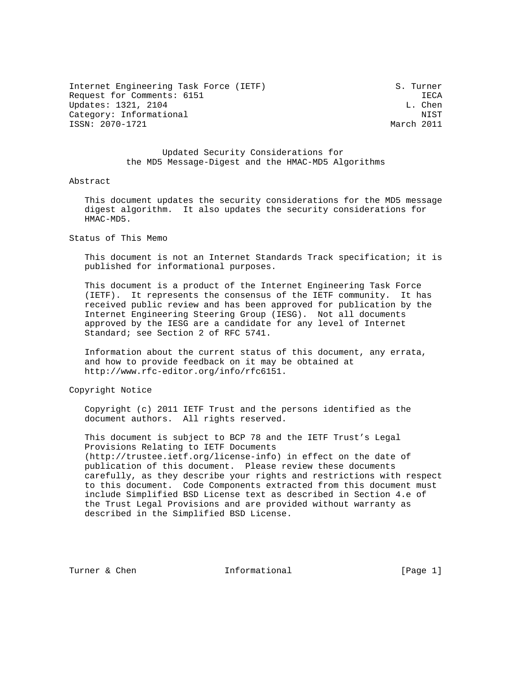Internet Engineering Task Force (IETF) S. Turner Request for Comments: 6151 IECA Updates: 1321, 2104 L. Chen Category: Informational NIST NISSN: 2070-1721 2011 ISSN: 2070-1721

 Updated Security Considerations for the MD5 Message-Digest and the HMAC-MD5 Algorithms

### Abstract

 This document updates the security considerations for the MD5 message digest algorithm. It also updates the security considerations for HMAC-MD5.

Status of This Memo

 This document is not an Internet Standards Track specification; it is published for informational purposes.

 This document is a product of the Internet Engineering Task Force (IETF). It represents the consensus of the IETF community. It has received public review and has been approved for publication by the Internet Engineering Steering Group (IESG). Not all documents approved by the IESG are a candidate for any level of Internet Standard; see Section 2 of RFC 5741.

 Information about the current status of this document, any errata, and how to provide feedback on it may be obtained at http://www.rfc-editor.org/info/rfc6151.

Copyright Notice

 Copyright (c) 2011 IETF Trust and the persons identified as the document authors. All rights reserved.

 This document is subject to BCP 78 and the IETF Trust's Legal Provisions Relating to IETF Documents (http://trustee.ietf.org/license-info) in effect on the date of publication of this document. Please review these documents carefully, as they describe your rights and restrictions with respect to this document. Code Components extracted from this document must include Simplified BSD License text as described in Section 4.e of the Trust Legal Provisions and are provided without warranty as described in the Simplified BSD License.

Turner & Chen **Informational** [Page 1]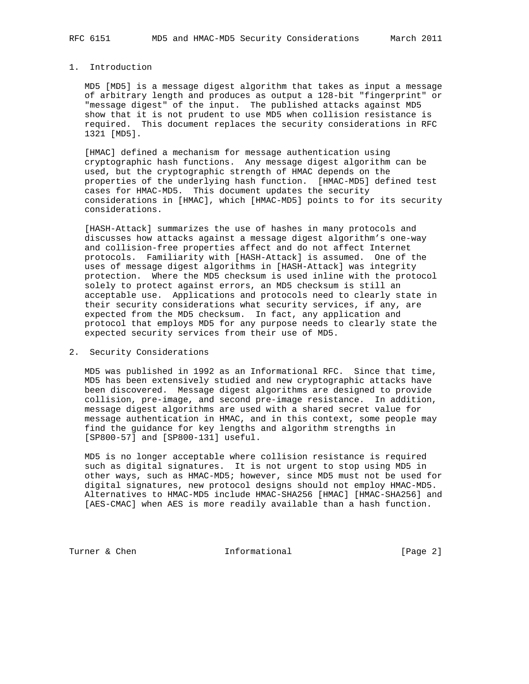# 1. Introduction

 MD5 [MD5] is a message digest algorithm that takes as input a message of arbitrary length and produces as output a 128-bit "fingerprint" or "message digest" of the input. The published attacks against MD5 show that it is not prudent to use MD5 when collision resistance is required. This document replaces the security considerations in RFC 1321 [MD5].

 [HMAC] defined a mechanism for message authentication using cryptographic hash functions. Any message digest algorithm can be used, but the cryptographic strength of HMAC depends on the properties of the underlying hash function. [HMAC-MD5] defined test cases for HMAC-MD5. This document updates the security considerations in [HMAC], which [HMAC-MD5] points to for its security considerations.

 [HASH-Attack] summarizes the use of hashes in many protocols and discusses how attacks against a message digest algorithm's one-way and collision-free properties affect and do not affect Internet protocols. Familiarity with [HASH-Attack] is assumed. One of the uses of message digest algorithms in [HASH-Attack] was integrity protection. Where the MD5 checksum is used inline with the protocol solely to protect against errors, an MD5 checksum is still an acceptable use. Applications and protocols need to clearly state in their security considerations what security services, if any, are expected from the MD5 checksum. In fact, any application and protocol that employs MD5 for any purpose needs to clearly state the expected security services from their use of MD5.

## 2. Security Considerations

 MD5 was published in 1992 as an Informational RFC. Since that time, MD5 has been extensively studied and new cryptographic attacks have been discovered. Message digest algorithms are designed to provide collision, pre-image, and second pre-image resistance. In addition, message digest algorithms are used with a shared secret value for message authentication in HMAC, and in this context, some people may find the guidance for key lengths and algorithm strengths in [SP800-57] and [SP800-131] useful.

 MD5 is no longer acceptable where collision resistance is required such as digital signatures. It is not urgent to stop using MD5 in other ways, such as HMAC-MD5; however, since MD5 must not be used for digital signatures, new protocol designs should not employ HMAC-MD5. Alternatives to HMAC-MD5 include HMAC-SHA256 [HMAC] [HMAC-SHA256] and [AES-CMAC] when AES is more readily available than a hash function.

Turner & Chen **Informational** [Page 2]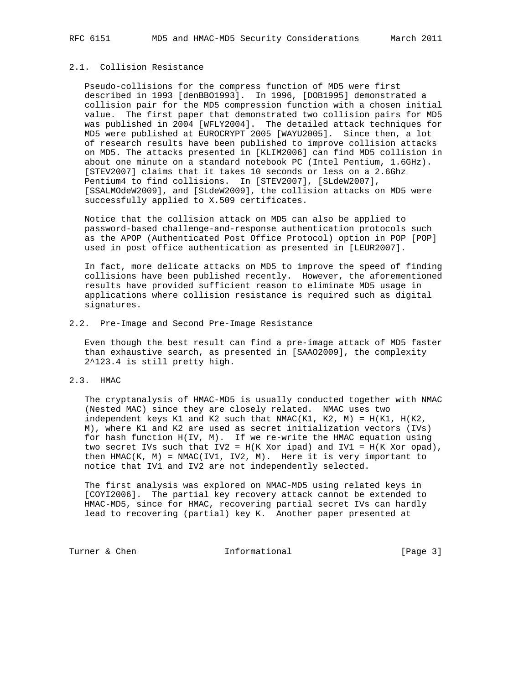# 2.1. Collision Resistance

 Pseudo-collisions for the compress function of MD5 were first described in 1993 [denBBO1993]. In 1996, [DOB1995] demonstrated a collision pair for the MD5 compression function with a chosen initial value. The first paper that demonstrated two collision pairs for MD5 was published in 2004 [WFLY2004]. The detailed attack techniques for MD5 were published at EUROCRYPT 2005 [WAYU2005]. Since then, a lot of research results have been published to improve collision attacks on MD5. The attacks presented in [KLIM2006] can find MD5 collision in about one minute on a standard notebook PC (Intel Pentium, 1.6GHz). [STEV2007] claims that it takes 10 seconds or less on a 2.6Ghz Pentium4 to find collisions. In [STEV2007], [SLdeW2007], [SSALMOdeW2009], and [SLdeW2009], the collision attacks on MD5 were successfully applied to X.509 certificates.

 Notice that the collision attack on MD5 can also be applied to password-based challenge-and-response authentication protocols such as the APOP (Authenticated Post Office Protocol) option in POP [POP] used in post office authentication as presented in [LEUR2007].

 In fact, more delicate attacks on MD5 to improve the speed of finding collisions have been published recently. However, the aforementioned results have provided sufficient reason to eliminate MD5 usage in applications where collision resistance is required such as digital signatures.

### 2.2. Pre-Image and Second Pre-Image Resistance

 Even though the best result can find a pre-image attack of MD5 faster than exhaustive search, as presented in [SAAO2009], the complexity 2^123.4 is still pretty high.

#### 2.3. HMAC

 The cryptanalysis of HMAC-MD5 is usually conducted together with NMAC (Nested MAC) since they are closely related. NMAC uses two independent keys K1 and K2 such that NMAC(K1, K2, M) = H(K1, H(K2, M), where K1 and K2 are used as secret initialization vectors (IVs) for hash function H(IV, M). If we re-write the HMAC equation using two secret IVs such that IV2 =  $H(K \ X or \ ipad)$  and IV1 =  $H(K \ X or \ opad)$ , then  $HMAC(K, M) = NMAC(IV1, IV2, M)$ . Here it is very important to notice that IV1 and IV2 are not independently selected.

 The first analysis was explored on NMAC-MD5 using related keys in [COYI2006]. The partial key recovery attack cannot be extended to HMAC-MD5, since for HMAC, recovering partial secret IVs can hardly lead to recovering (partial) key K. Another paper presented at

Turner & Chen **Informational** [Page 3]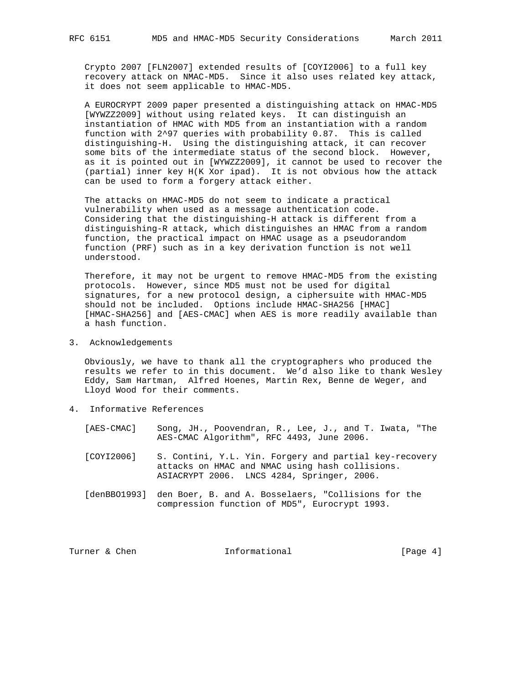Crypto 2007 [FLN2007] extended results of [COYI2006] to a full key recovery attack on NMAC-MD5. Since it also uses related key attack, it does not seem applicable to HMAC-MD5.

 A EUROCRYPT 2009 paper presented a distinguishing attack on HMAC-MD5 [WYWZZ2009] without using related keys. It can distinguish an instantiation of HMAC with MD5 from an instantiation with a random function with 2^97 queries with probability 0.87. This is called distinguishing-H. Using the distinguishing attack, it can recover some bits of the intermediate status of the second block. However, as it is pointed out in [WYWZZ2009], it cannot be used to recover the (partial) inner key H(K Xor ipad). It is not obvious how the attack can be used to form a forgery attack either.

 The attacks on HMAC-MD5 do not seem to indicate a practical vulnerability when used as a message authentication code. Considering that the distinguishing-H attack is different from a distinguishing-R attack, which distinguishes an HMAC from a random function, the practical impact on HMAC usage as a pseudorandom function (PRF) such as in a key derivation function is not well understood.

 Therefore, it may not be urgent to remove HMAC-MD5 from the existing protocols. However, since MD5 must not be used for digital signatures, for a new protocol design, a ciphersuite with HMAC-MD5 should not be included. Options include HMAC-SHA256 [HMAC] [HMAC-SHA256] and [AES-CMAC] when AES is more readily available than a hash function.

3. Acknowledgements

 Obviously, we have to thank all the cryptographers who produced the results we refer to in this document. We'd also like to thank Wesley Eddy, Sam Hartman, Alfred Hoenes, Martin Rex, Benne de Weger, and Lloyd Wood for their comments.

- 4. Informative References
	- [AES-CMAC] Song, JH., Poovendran, R., Lee, J., and T. Iwata, "The AES-CMAC Algorithm", RFC 4493, June 2006.
	- [COYI2006] S. Contini, Y.L. Yin. Forgery and partial key-recovery attacks on HMAC and NMAC using hash collisions. ASIACRYPT 2006. LNCS 4284, Springer, 2006.
	- [denBBO1993] den Boer, B. and A. Bosselaers, "Collisions for the compression function of MD5", Eurocrypt 1993.

Turner & Chen **Informational** [Page 4]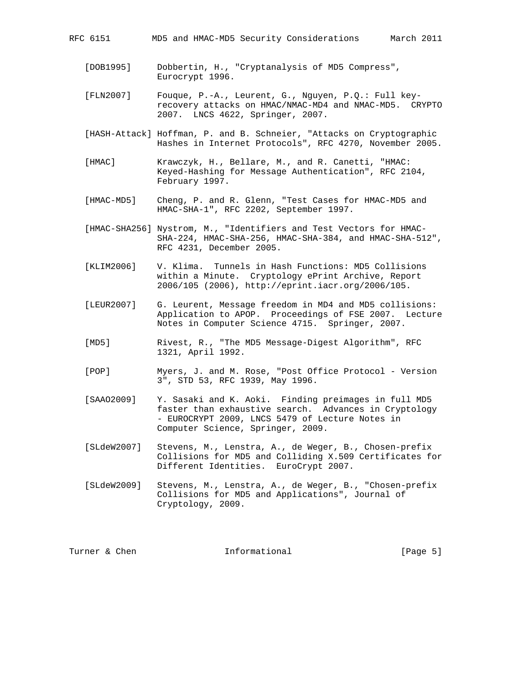| MD5 and HMAC-MD5 Security Considerations<br>RFC 6151 |  |
|------------------------------------------------------|--|
|------------------------------------------------------|--|

- [DOB1995] Dobbertin, H., "Cryptanalysis of MD5 Compress", Eurocrypt 1996.
- [FLN2007] Fouque, P.-A., Leurent, G., Nguyen, P.Q.: Full key recovery attacks on HMAC/NMAC-MD4 and NMAC-MD5. CRYPTO 2007. LNCS 4622, Springer, 2007.
- [HASH-Attack] Hoffman, P. and B. Schneier, "Attacks on Cryptographic Hashes in Internet Protocols", RFC 4270, November 2005.
- [HMAC] Krawczyk, H., Bellare, M., and R. Canetti, "HMAC: Keyed-Hashing for Message Authentication", RFC 2104, February 1997.
- [HMAC-MD5] Cheng, P. and R. Glenn, "Test Cases for HMAC-MD5 and HMAC-SHA-1", RFC 2202, September 1997.
- [HMAC-SHA256] Nystrom, M., "Identifiers and Test Vectors for HMAC- SHA-224, HMAC-SHA-256, HMAC-SHA-384, and HMAC-SHA-512", RFC 4231, December 2005.
- [KLIM2006] V. Klima. Tunnels in Hash Functions: MD5 Collisions within a Minute. Cryptology ePrint Archive, Report 2006/105 (2006), http://eprint.iacr.org/2006/105.
- [LEUR2007] G. Leurent, Message freedom in MD4 and MD5 collisions: Application to APOP. Proceedings of FSE 2007. Lecture Notes in Computer Science 4715. Springer, 2007.
- [MD5] Rivest, R., "The MD5 Message-Digest Algorithm", RFC 1321, April 1992.
- [POP] Myers, J. and M. Rose, "Post Office Protocol Version 3", STD 53, RFC 1939, May 1996.
- [SAAO2009] Y. Sasaki and K. Aoki. Finding preimages in full MD5 faster than exhaustive search. Advances in Cryptology - EUROCRYPT 2009, LNCS 5479 of Lecture Notes in Computer Science, Springer, 2009.
- [SLdeW2007] Stevens, M., Lenstra, A., de Weger, B., Chosen-prefix Collisions for MD5 and Colliding X.509 Certificates for Different Identities. EuroCrypt 2007.
- [SLdeW2009] Stevens, M., Lenstra, A., de Weger, B., "Chosen-prefix Collisions for MD5 and Applications", Journal of Cryptology, 2009.

| [Page $5$ ] |  |
|-------------|--|
|             |  |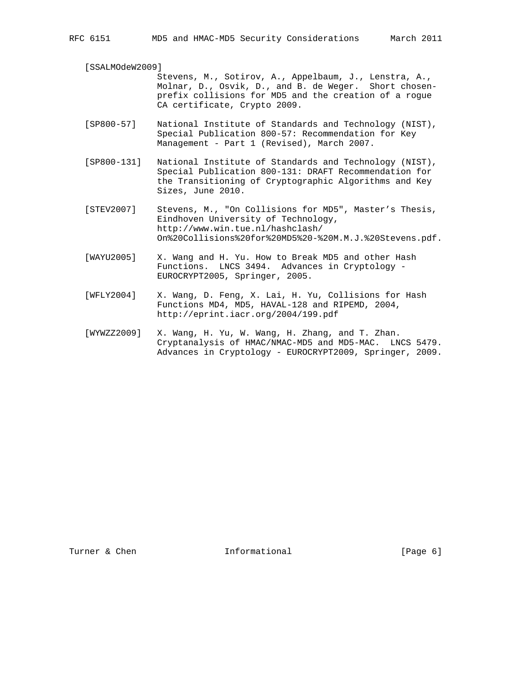#### [SSALMOdeW2009]

 Stevens, M., Sotirov, A., Appelbaum, J., Lenstra, A., Molnar, D., Osvik, D., and B. de Weger. Short chosen prefix collisions for MD5 and the creation of a rogue CA certificate, Crypto 2009.

- [SP800-57] National Institute of Standards and Technology (NIST), Special Publication 800-57: Recommendation for Key Management - Part 1 (Revised), March 2007.
- [SP800-131] National Institute of Standards and Technology (NIST), Special Publication 800-131: DRAFT Recommendation for the Transitioning of Cryptographic Algorithms and Key Sizes, June 2010.
- [STEV2007] Stevens, M., "On Collisions for MD5", Master's Thesis, Eindhoven University of Technology, http://www.win.tue.nl/hashclash/ On%20Collisions%20for%20MD5%20-%20M.M.J.%20Stevens.pdf.
- [WAYU2005] X. Wang and H. Yu. How to Break MD5 and other Hash Functions. LNCS 3494. Advances in Cryptology - EUROCRYPT2005, Springer, 2005.
- [WFLY2004] X. Wang, D. Feng, X. Lai, H. Yu, Collisions for Hash Functions MD4, MD5, HAVAL-128 and RIPEMD, 2004, http://eprint.iacr.org/2004/199.pdf
- [WYWZZ2009] X. Wang, H. Yu, W. Wang, H. Zhang, and T. Zhan. Cryptanalysis of HMAC/NMAC-MD5 and MD5-MAC. LNCS 5479. Advances in Cryptology - EUROCRYPT2009, Springer, 2009.

Turner & Chen **Informational** [Page 6]